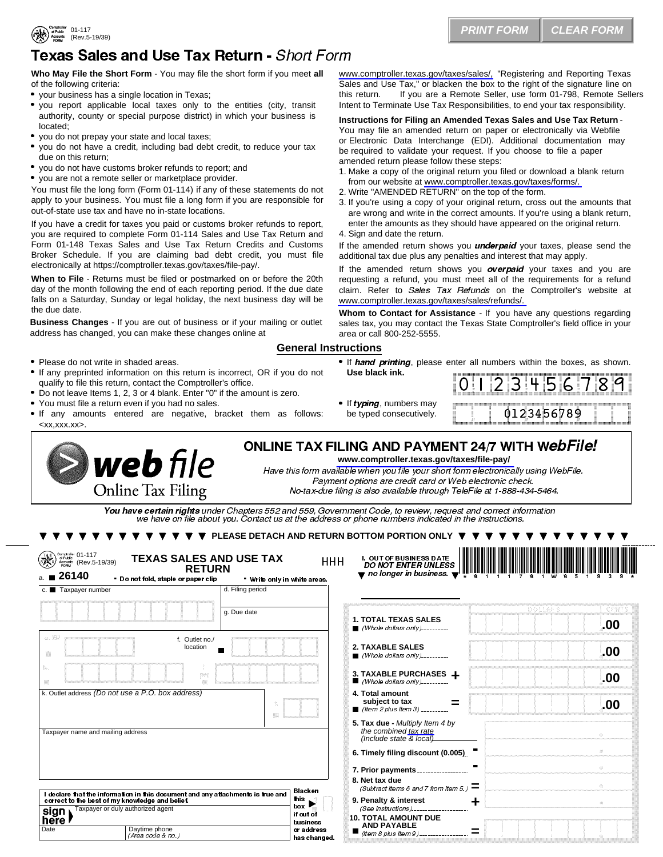# Texas Sales and Use Tax Return - Short Form

**Who May File the Short Form** - You may file the short form if you meet **all** of the following criteria: Sales and<br>I your business has a single location in Texas; I wou report applicable local taxes only to the entities (city, transit Intent to Te<br>Intent to Te

- 
- authority, county or special purpose district) in which your business is
- 
- I located;<br>
 you do not prepay your state and local taxes;<br>
 you do not have a credit, including bad debt credit, to reduce your tax<br>
due on this return:
- you do not have customs broker refunds to report; and
- you are not a remote seller or marketplace provider.

You must file the long form (Form 01-114) if any of these statements do not 2. Write "AMENDED RETURN" on the top of the form. apply to your business. You must file a long form if you are responsible for  $3.$  If you're using a copy of your original return, cross out the amounts that out-of-state use tax and have no in-state locations.

If you have a credit for taxes you paid or customs broker refunds to report, enter the amounts as the you are required to complete Form 01-114 Sales and Use Tax Return and 4. Sign and date the return. you are required to complete Form 01-114 Sales and Use Tax Return and Form 01-148 Texas Sales and Use Tax Return Credits and Customs Broker Schedule. If you are claiming bad debt credit, you must file electronically at [https://comptroller.texas.gov/taxes/file-pay/](https://comptroller.texas.gov/taxes/file-pay).

**When to File** - Returns must be filed or postmarked on or before the 20th day of the month following the end of each reporting period. If the due date falls on a Saturday, Sunday or legal holiday, the next business day will be the due date.

**Business Changes** - If you are out of business or if your mailing or outlet address has changed, you can make these changes online at

- 
- Please do not write in shaded areas.<br>• If any preprinted information on this return is incorrect, OR if you do not U
- 
- 
- qualify to file this return, contact the Comptroller's office.<br>• Do not leave Items 1, 2, 3 or 4 blank. Enter "0" if the amount is zero.<br>• You must file a return even if you had no sales. If any amounts entered are negat <[xx,xxx.xx](http:xx,xxx.xx)>.

**web** file **Online Tax Filing** 

[www.comptroller.texas.gov/taxes/sales/,](www.comptroller.texas.gov/taxes/sales/) "Registering and Reporting Texas Sales and Use Tax," or blacken the box to the right of the signature line on If you are a Remote Seller, use form 01-798, Remote Sellers Intent to Terminate Use Tax Responsibilities, to end your tax responsibility.

#### **Instructions for Filing an Amended Texas Sales and Use Tax Return** -

You may file an amended return on paper or electronically via Webfile or Electronic Data Interchange (EDI). Additional documentation may be required to validate your request. If you choose to file a paper amended return please follow these steps:<br>1. Make a copy of the original return you filed or download a blank return this return. If you are a Remote Seller, use form 01-798, Remote Sellers<br>Intent to Terminate Use Tax Responsibilities, to end your tax responsibility.<br>Instructions for Filing an Amended Texas Sales and Use Tax Return-<br>You Instructions for Filing an Amended Texas Sales and Use<br>
You may file an amended return on paper or electronically<br>
or Electronic Data Interchange (EDI). Additional docume<br>
be required to validate your request. If you choos **Instructions for Filing an Amended Texas Sales and Use Tax Return**-<br>You may file an amended return on paper or electronically via Webfile<br>or Electronic Data Interchange (EDI). Additional documentation may<br>be required to

- from our website at www.comptroller.texas.gov/taxes/forms/.
- 
- are wrong and write in the correct amounts. If you're using a blank return, enter the amounts as they should have appeared on the original return. be required to validate your request<br>amended return please follow thes<br>1. Make a copy of the original return.<br>1. Write "AMENDED RETURN" on<br>2. Write "AMENDED RETURN" on<br>2. If you're using a copy of your of<br>are wrong and wri
- 

If the amended return shows you *underpaid* your taxes, please send the additional tax due plus any penalties and interest that may apply.

nould have appeared on the original return.<br>you *underpaid* your taxes, please send the<br>alties and interest that may apply.<br>s you *overpaid* your taxes and you are<br>t meet all of the requirements for a refund<br>*Refunds* on If the amended return shows you **overpaid** your taxes and you are requesting a refund, you must meet all of the requirements for a refund claim. Refer to Sales Tax Refunds on the Comptroller's website at [www.comptroller.texas.gov/taxes/sales/refunds/.](www.comptroller.texas.gov/taxes/sales/refunds/)

**Whom to Contact for Assistance** - If you have any questions regarding sales tax, you may contact the Texas State Comptroller's field office in your area or call 800-252-5555.

#### **General Instructions**

If hand printing, please enter all numbers within the boxes, as shown. **Use black ink.**

| <br>።<br>×<br>።<br><br>።<br>22<br><br>።<br>×<br>።<br> |  |  | 22<br>÷<br>92<br>н.<br><br>22<br>$\cdots$<br>æ |  |  | $\sim$<br>$\sim$ |  |  | <br>$\cdots$<br><br>я, |  |  | æ | <br>÷<br><br>н.<br>B<br>$\mathbb{R}^n$ |  |  | <br>×<br>::<br><br>×<br>33<br>$\bullet$ |  | <br>33<br>::<br><br><br>።<br>::<br><br>::<br>33<br>11<br>::<br>:: |  | m.<br><br><br><br>. .<br> | <br> |  |  |  | <br><br>::<br>33<br>н<br>:: |  | <br>:::<br>l<br>:::<br>ю<br><br>$-111$<br> |  |
|-------------------------------------------------------|--|--|------------------------------------------------|--|--|------------------|--|--|------------------------|--|--|---|----------------------------------------|--|--|-----------------------------------------|--|-------------------------------------------------------------------|--|---------------------------|------|--|--|--|-----------------------------|--|--------------------------------------------|--|
|                                                       |  |  |                                                |  |  |                  |  |  |                        |  |  |   |                                        |  |  |                                         |  |                                                                   |  |                           |      |  |  |  |                             |  |                                            |  |

• If *typing*, numbers may be typed consecutive

| <br>::<br>--<br>m<br>ж<br><br>--<br><br>። |  |
|-------------------------------------------|--|
|-------------------------------------------|--|

### **<www.comptroller.texas.gov/taxes/file-pay>/** ONLINE TAX FILING AND PAYMENT 24/7 WITH W*ebFile!*

Have this form available when you file your short form electronically using WebFile. Payment options are credit card or Web electronic check. No-tax-due filing is also available through TeleFile at 1-888-434-5464.

### **V V V V PLEASE DETACH AND RETURN BOTTOM PORTION ONLY <b>V V V**

| You have certain rights under Chapters 552 and 559, Government Code, to review, request and correct information<br>we have on file about you. Contact us at the address or phone numbers indicated in the instructions.<br>PLEASE DETACH AND RETURN BOTTOM PORTION ONLY |             |  |
|-------------------------------------------------------------------------------------------------------------------------------------------------------------------------------------------------------------------------------------------------------------------------|-------------|--|
|                                                                                                                                                                                                                                                                         |             |  |
|                                                                                                                                                                                                                                                                         |             |  |
| Comptroller 01-117<br>Accounts (Rev.5-<br><b>TEXAS SALES AND USE TAX</b><br><b>I. OUT OF BUSINESS DATE</b><br><b>HHH</b><br>(Rev.5-19/39)                                                                                                                               |             |  |
| <b>DO NOT ENTER UNLESS</b><br><b>RETURN</b><br>$\blacktriangledown$ no longer in business. $\blacktriangledown$<br>26140<br>- Do not fold, staple or paper clip                                                                                                         |             |  |
| . Write only in white areas.<br>d. Filing period<br>c. Taxpayer number<br>*** INTERNE                                                                                                                                                                                   |             |  |
| oolles s<br>q. Due date                                                                                                                                                                                                                                                 | <b>CENT</b> |  |
| <b>1. TOTAL TEXAS SALES</b><br>$\blacksquare$ (Whole dollars only)                                                                                                                                                                                                      | .00         |  |
| f. Outlet no./<br><b>2. TAXABLE SALES</b><br>location<br>$Mhole$ dollars only)                                                                                                                                                                                          | .00         |  |
| 3. TAXABLE PURCHASES +<br>988<br>$\blacksquare$ (Whole dollars only)                                                                                                                                                                                                    | .00         |  |
| k. Outlet address (Do not use a P.O. box address)<br>4. Total amount<br>subject to tax<br>Ξ<br>■ <i>(Item 2 plus Item 3)</i> __________                                                                                                                                 | .00         |  |
| 5. Tax due - Multiply Item 4 by<br>the combined tax rate<br>Taxpayer name and mailing address<br>(Include state $\overline{\&$ local)                                                                                                                                   |             |  |
| 6. Timely filing discount (0.005)                                                                                                                                                                                                                                       | m.          |  |
| 7. Prior payments                                                                                                                                                                                                                                                       | 42          |  |
| 8. Net tax due<br>$\equiv$<br>(Subtract Items 6 and 7 from Item 5.)<br>Blacken                                                                                                                                                                                          | 80          |  |
| I declare that the information in this document and any attachments is true and<br>this.<br>9. Penalty & interest<br>correct to the best of my knowledge and belief.<br>+<br>box                                                                                        | 会。          |  |
| Taxpayer or duly authorized agent<br>(See instructions)<br>if out of<br><b>10. TOTAL AMOUNT DUE</b><br>business                                                                                                                                                         |             |  |
| <b>AND PAYABLE</b><br>Daytime phone<br>or address<br>(Item 8 plus Item 9) ________________<br>(Area code & no.)<br>has changed.                                                                                                                                         |             |  |